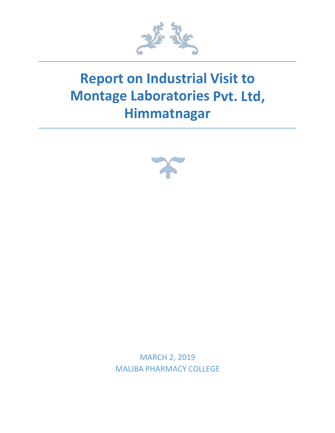

## **Report on Industrial Visit to Montage Laboratories Pvt. Ltd, Himmatnagar**



MARCH 2, 2019 MALIBA PHARMACY COLLEGE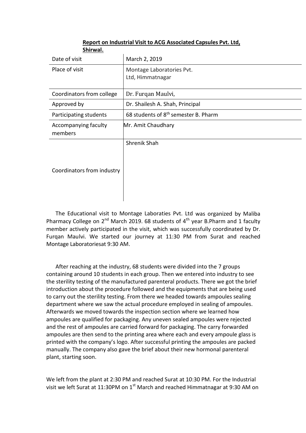| JIIII WAI.                      |                                                  |
|---------------------------------|--------------------------------------------------|
| Date of visit                   | March 2, 2019                                    |
| Place of visit                  | Montage Laboratories Pvt.<br>Ltd, Himmatnagar    |
|                                 |                                                  |
| Coordinators from college       | Dr. Furqan Maulvi,                               |
| Approved by                     | Dr. Shailesh A. Shah, Principal                  |
| Participating students          | 68 students of 8 <sup>th</sup> semester B. Pharm |
| Accompanying faculty<br>members | Mr. Amit Chaudhary                               |
| Coordinators from industry      | Shrenik Shah                                     |

## **Report on Industrial Visit to ACG Associated Capsules Pvt. Ltd, Shirwal.**

The Educational visit to Montage Laboraties Pvt. Ltd was organized by Maliba Pharmacy College on 2<sup>nd</sup> March 2019. 68 students of 4<sup>th</sup> year B.Pharm and 1 faculty member actively participated in the visit, which was successfully coordinated by Dr. Furqan Maulvi. We started our journey at 11:30 PM from Surat and reached Montage Laboratoriesat 9:30 AM.

After reaching at the industry, 68 students were divided into the 7 groups containing around 10 students in each group. Then we entered into industry to see the sterility testing of the manufactured parenteral products. There we got the brief introduction about the procedure followed and the equipments that are being used to carry out the sterility testing. From there we headed towards ampoules sealing department where we saw the actual procedure employed in sealing of ampoules. Afterwards we moved towards the inspection section where we learned how ampoules are qualified for packaging. Any uneven sealed ampoules were rejected and the rest of ampoules are carried forward for packaging. The carry forwarded ampoules are then send to the printing area where each and every ampoule glass is printed with the company's logo. After successful printing the ampoules are packed manually. The company also gave the brief about their new hormonal parenteral plant, starting soon.

We left from the plant at 2:30 PM and reached Surat at 10:30 PM. For the Industrial visit we left Surat at 11:30PM on  $1<sup>st</sup>$  March and reached Himmatnagar at 9:30 AM on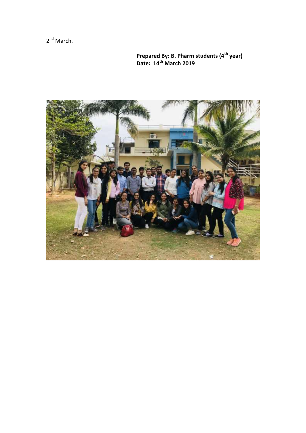2<sup>nd</sup> March.

 **Prepared By: B. Pharm students (4th year) Date: 14th March 2019**